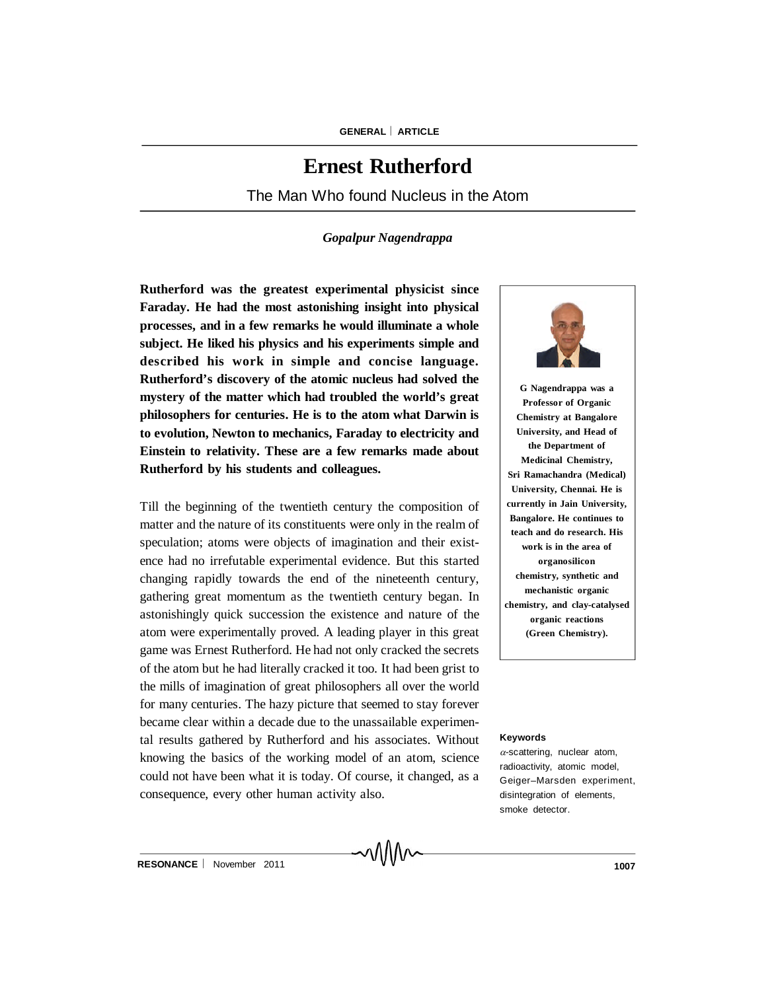# **Ernest Rutherford**

The Man Who found Nucleus in the Atom

*Gopalpur Nagendrappa*

**Rutherford was the greatest experimental physicist since Faraday. He had the most astonishing insight into physical processes, and in a few remarks he would illuminate a whole subject. He liked his physics and his experiments simple and described his work in simple and concise language. Rutherford's discovery of the atomic nucleus had solved the mystery of the matter which had troubled the world's great philosophers for centuries. He is to the atom what Darwin is to evolution, Newton to mechanics, Faraday to electricity and Einstein to relativity. These are a few remarks made about Rutherford by his students and colleagues.**

Till the beginning of the twentieth century the composition of matter and the nature of its constituents were only in the realm of speculation; atoms were objects of imagination and their existence had no irrefutable experimental evidence. But this started changing rapidly towards the end of the nineteenth century, gathering great momentum as the twentieth century began. In astonishingly quick succession the existence and nature of the atom were experimentally proved. A leading player in this great game was Ernest Rutherford. He had not only cracked the secrets of the atom but he had literally cracked it too. It had been grist to the mills of imagination of great philosophers all over the world for many centuries. The hazy picture that seemed to stay forever became clear within a decade due to the unassailable experimental results gathered by Rutherford and his associates. Without knowing the basics of the working model of an atom, science could not have been what it is today. Of course, it changed, as a consequence, every other human activity also.



**G Nagendrappa was a Professor of Organic Chemistry at Bangalore University, and Head of the Department of Medicinal Chemistry, Sri Ramachandra (Medical) University, Chennai. He is currently in Jain University, Bangalore. He continues to teach and do research. His work is in the area of organosilicon chemistry, synthetic and mechanistic organic chemistry, and clay-catalysed organic reactions (Green Chemistry).**

#### **Keywords**

 $\alpha$ -scattering, nuclear atom, radioactivity, atomic model, Geiger–Marsden experiment, disintegration of elements, smoke detector.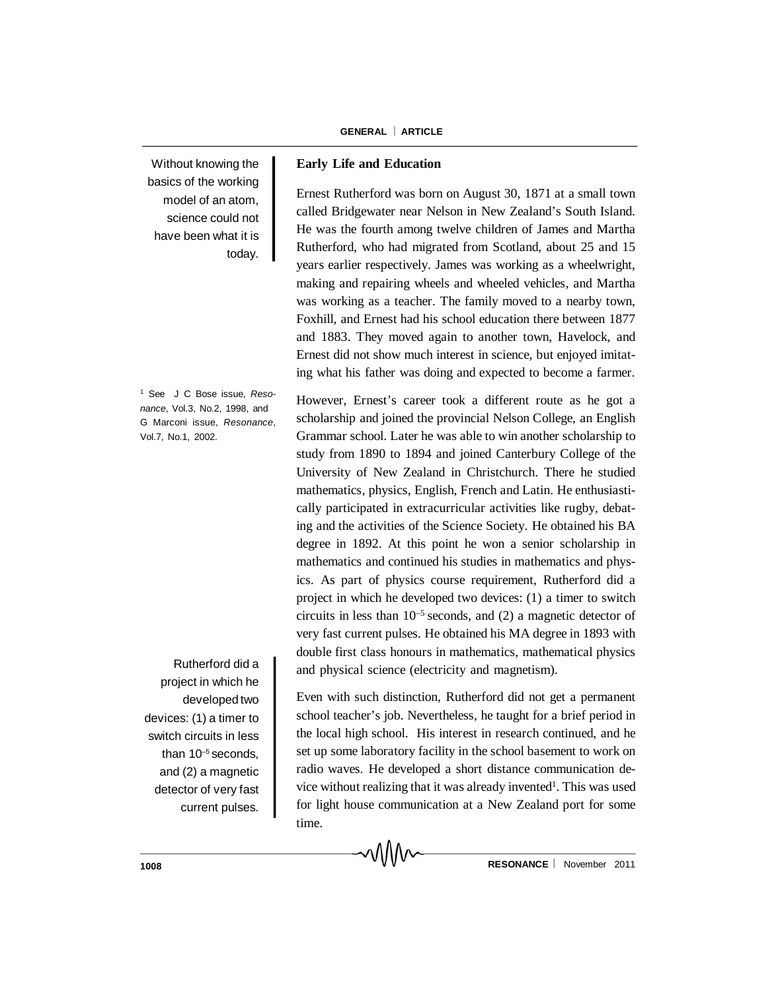Without knowing the basics of the working model of an atom, science could not have been what it is today.

<sup>1</sup> See J C Bose issue, *Resonance*, Vol.3, No.2, 1998, and G Marconi issue, *Resonance*, Vol.7, No.1, 2002.

Rutherford did a project in which he developed two devices: (1) a timer to switch circuits in less than  $10^{-5}$  seconds. and (2) a magnetic detector of very fast current pulses.

## **Early Life and Education**

Ernest Rutherford was born on August 30, 1871 at a small town called Bridgewater near Nelson in New Zealand's South Island. He was the fourth among twelve children of James and Martha Rutherford, who had migrated from Scotland, about 25 and 15 years earlier respectively. James was working as a wheelwright, making and repairing wheels and wheeled vehicles, and Martha was working as a teacher. The family moved to a nearby town, Foxhill, and Ernest had his school education there between 1877 and 1883. They moved again to another town, Havelock, and Ernest did not show much interest in science, but enjoyed imitating what his father was doing and expected to become a farmer.

However, Ernest's career took a different route as he got a scholarship and joined the provincial Nelson College, an English Grammar school. Later he was able to win another scholarship to study from 1890 to 1894 and joined Canterbury College of the University of New Zealand in Christchurch. There he studied mathematics, physics, English, French and Latin. He enthusiastically participated in extracurricular activities like rugby, debating and the activities of the Science Society. He obtained his BA degree in 1892. At this point he won a senior scholarship in mathematics and continued his studies in mathematics and physics. As part of physics course requirement, Rutherford did a project in which he developed two devices: (1) a timer to switch circuits in less than  $10^{-5}$  seconds, and (2) a magnetic detector of very fast current pulses. He obtained his MA degree in 1893 with double first class honours in mathematics, mathematical physics and physical science (electricity and magnetism).

Even with such distinction, Rutherford did not get a permanent school teacher's job. Nevertheless, he taught for a brief period in the local high school. His interest in research continued, and he set up some laboratory facility in the school basement to work on radio waves. He developed a short distance communication device without realizing that it was already invented<sup>1</sup>. This was used for light house communication at a New Zealand port for some time.

√∖∖∖∖∧∼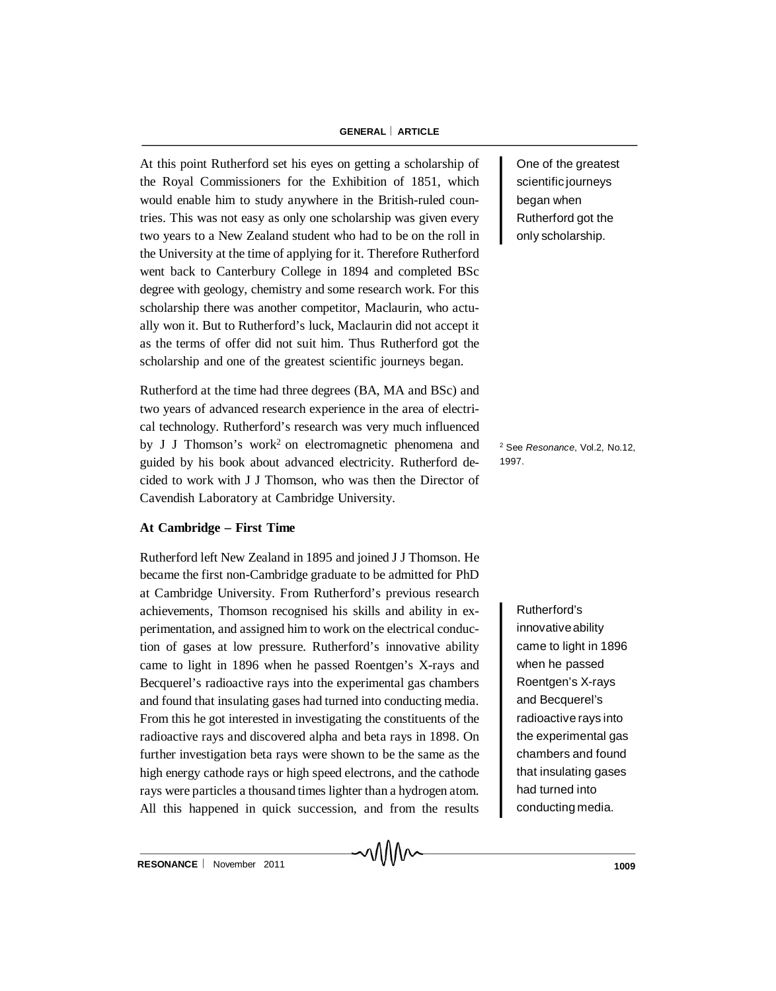At this point Rutherford set his eyes on getting a scholarship of the Royal Commissioners for the Exhibition of 1851, which would enable him to study anywhere in the British-ruled countries. This was not easy as only one scholarship was given every two years to a New Zealand student who had to be on the roll in the University at the time of applying for it. Therefore Rutherford went back to Canterbury College in 1894 and completed BSc degree with geology, chemistry and some research work. For this scholarship there was another competitor, Maclaurin, who actually won it. But to Rutherford's luck, Maclaurin did not accept it as the terms of offer did not suit him. Thus Rutherford got the scholarship and one of the greatest scientific journeys began.

Rutherford at the time had three degrees (BA, MA and BSc) and two years of advanced research experience in the area of electrical technology. Rutherford's research was very much influenced by J J Thomson's work<sup>2</sup> on electromagnetic phenomena and guided by his book about advanced electricity. Rutherford decided to work with J J Thomson, who was then the Director of Cavendish Laboratory at Cambridge University.

## **At Cambridge – First Time**

Rutherford left New Zealand in 1895 and joined J J Thomson. He became the first non-Cambridge graduate to be admitted for PhD at Cambridge University. From Rutherford's previous research achievements, Thomson recognised his skills and ability in experimentation, and assigned him to work on the electrical conduction of gases at low pressure. Rutherford's innovative ability came to light in 1896 when he passed Roentgen's X-rays and Becquerel's radioactive rays into the experimental gas chambers and found that insulating gases had turned into conducting media. From this he got interested in investigating the constituents of the radioactive rays and discovered alpha and beta rays in 1898. On further investigation beta rays were shown to be the same as the high energy cathode rays or high speed electrons, and the cathode rays were particles a thousand times lighter than a hydrogen atom. All this happened in quick succession, and from the results One of the greatest scientific journeys began when Rutherford got the only scholarship.

<sup>2</sup> See *Resonance*, Vol.2, No.12, 1997.

> Rutherford's innovativeability came to light in 1896 when he passed Roentgen's X-rays and Becquerel's radioactive rays into the experimental gas chambers and found that insulating gases had turned into conducting media.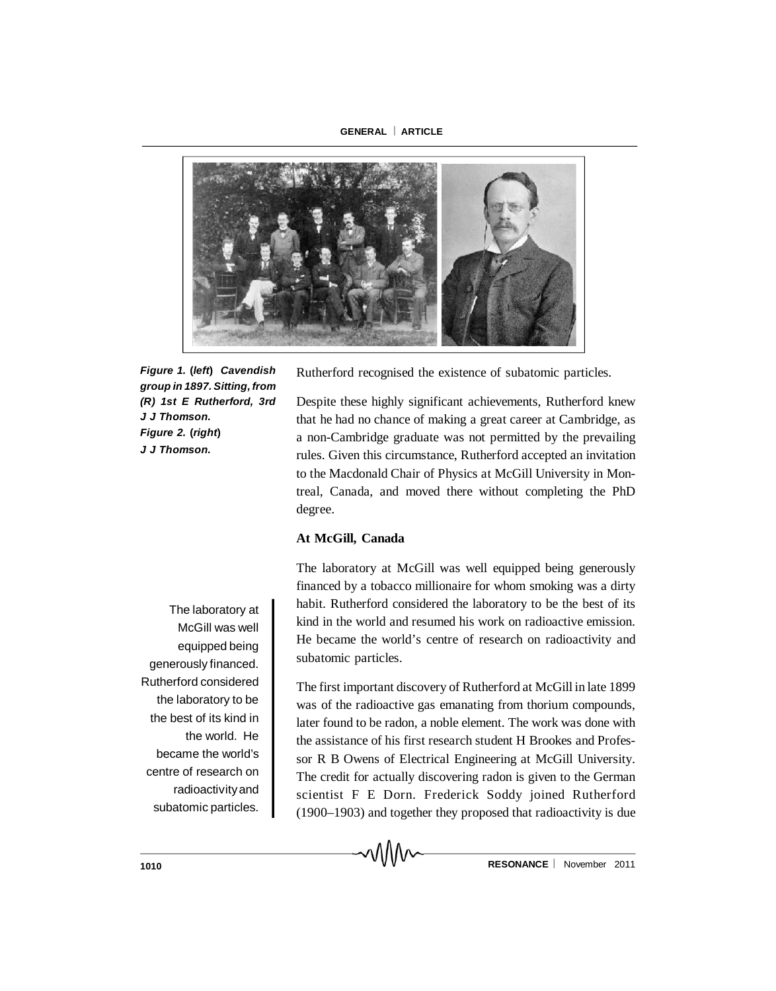

*Figure 1.* **(***left***)** *Cavendish group in 1897. Sitting, from (R) 1st E Rutherford, 3rd J J Thomson. Figure 2.* **(***right***)** *J J Thomson.*

Rutherford recognised the existence of subatomic particles.

Despite these highly significant achievements, Rutherford knew that he had no chance of making a great career at Cambridge, as a non-Cambridge graduate was not permitted by the prevailing rules. Given this circumstance, Rutherford accepted an invitation to the Macdonald Chair of Physics at McGill University in Montreal, Canada, and moved there without completing the PhD degree.

## **At McGill, Canada**

The laboratory at McGill was well equipped being generously financed by a tobacco millionaire for whom smoking was a dirty habit. Rutherford considered the laboratory to be the best of its kind in the world and resumed his work on radioactive emission. He became the world's centre of research on radioactivity and subatomic particles.

The first important discovery of Rutherford at McGill in late 1899 was of the radioactive gas emanating from thorium compounds, later found to be radon, a noble element. The work was done with the assistance of his first research student H Brookes and Professor R B Owens of Electrical Engineering at McGill University. The credit for actually discovering radon is given to the German scientist F E Dorn. Frederick Soddy joined Rutherford (1900–1903) and together they proposed that radioactivity is due

The laboratory at McGill was well equipped being generously financed. Rutherford considered the laboratory to be the best of its kind in the world. He became the world's centre of research on radioactivityand subatomic particles.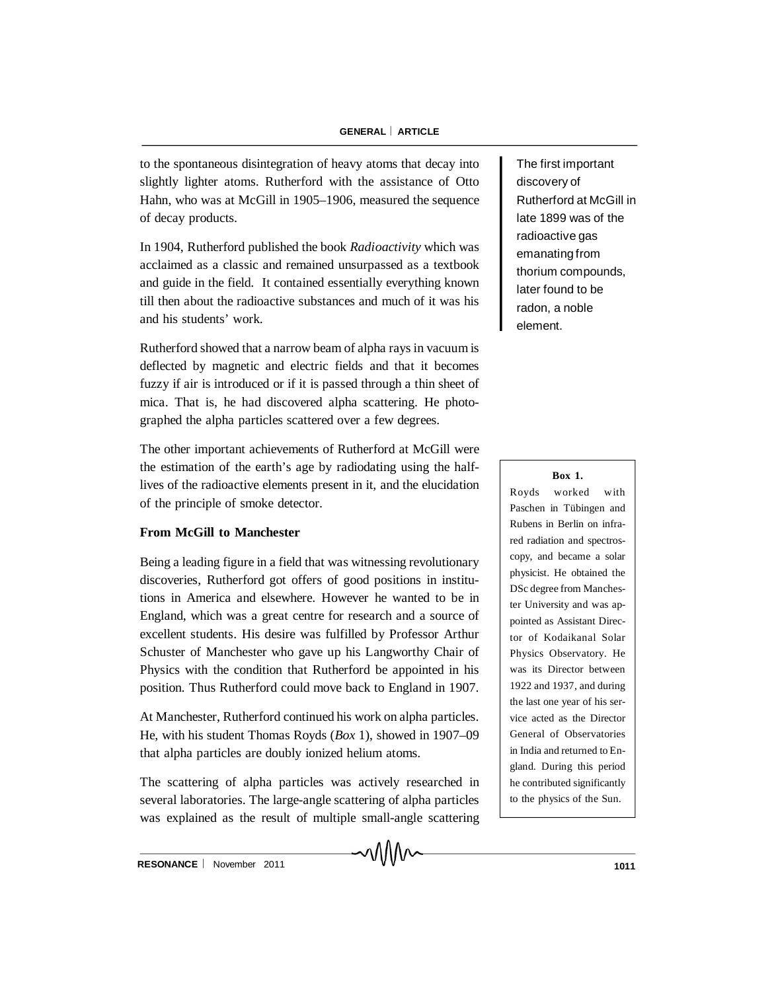to the spontaneous disintegration of heavy atoms that decay into slightly lighter atoms. Rutherford with the assistance of Otto Hahn, who was at McGill in 1905–1906, measured the sequence of decay products.

In 1904, Rutherford published the book *Radioactivity* which was acclaimed as a classic and remained unsurpassed as a textbook and guide in the field. It contained essentially everything known till then about the radioactive substances and much of it was his and his students' work.

Rutherford showed that a narrow beam of alpha rays in vacuum is deflected by magnetic and electric fields and that it becomes fuzzy if air is introduced or if it is passed through a thin sheet of mica. That is, he had discovered alpha scattering. He photographed the alpha particles scattered over a few degrees.

The other important achievements of Rutherford at McGill were the estimation of the earth's age by radiodating using the halflives of the radioactive elements present in it, and the elucidation of the principle of smoke detector.

# **From McGill to Manchester**

Being a leading figure in a field that was witnessing revolutionary discoveries, Rutherford got offers of good positions in institutions in America and elsewhere. However he wanted to be in England, which was a great centre for research and a source of excellent students. His desire was fulfilled by Professor Arthur Schuster of Manchester who gave up his Langworthy Chair of Physics with the condition that Rutherford be appointed in his position. Thus Rutherford could move back to England in 1907.

At Manchester, Rutherford continued his work on alpha particles. He, with his student Thomas Royds (*Box* 1), showed in 1907–09 that alpha particles are doubly ionized helium atoms.

The scattering of alpha particles was actively researched in several laboratories. The large-angle scattering of alpha particles was explained as the result of multiple small-angle scattering The first important discovery of Rutherford at McGill in late 1899 was of the radioactive gas emanating from thorium compounds, later found to be radon, a noble element.

## **Box 1.**

Royds worked with Paschen in Tübingen and Rubens in Berlin on infrared radiation and spectroscopy, and became a solar physicist. He obtained the DSc degree from Manchester University and was appointed as Assistant Director of Kodaikanal Solar Physics Observatory. He was its Director between 1922 and 1937, and during the last one year of his service acted as the Director General of Observatories in India and returned to England. During this period he contributed significantly to the physics of the Sun.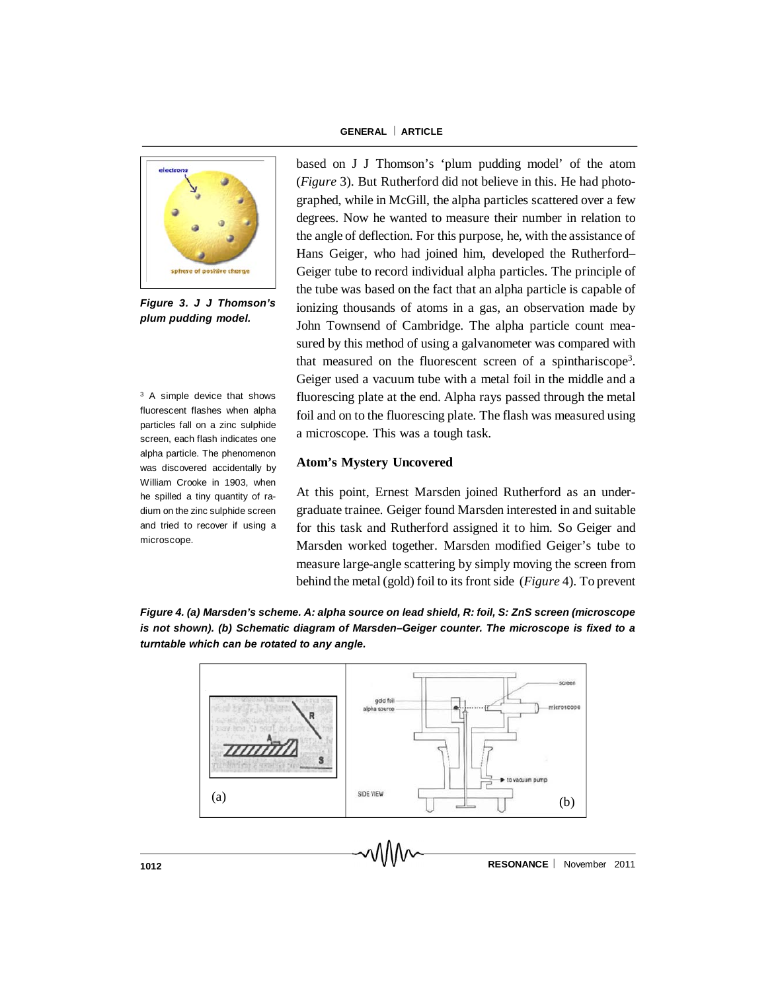

*Figure 3. J J Thomson's plum pudding model.*

<sup>3</sup> A simple device that shows fluorescent flashes when alpha particles fall on a zinc sulphide screen, each flash indicates one alpha particle. The phenomenon was discovered accidentally by William Crooke in 1903, when he spilled a tiny quantity of radium on the zinc sulphide screen and tried to recover if using a microscope.

#### **GENERAL ARTICLE**

based on J J Thomson's 'plum pudding model' of the atom (*Figure* 3). But Rutherford did not believe in this. He had photographed, while in McGill, the alpha particles scattered over a few degrees. Now he wanted to measure their number in relation to the angle of deflection. For this purpose, he, with the assistance of Hans Geiger, who had joined him, developed the Rutherford– Geiger tube to record individual alpha particles. The principle of the tube was based on the fact that an alpha particle is capable of ionizing thousands of atoms in a gas, an observation made by John Townsend of Cambridge. The alpha particle count measured by this method of using a galvanometer was compared with that measured on the fluorescent screen of a spinthariscope<sup>3</sup>. Geiger used a vacuum tube with a metal foil in the middle and a fluorescing plate at the end. Alpha rays passed through the metal foil and on to the fluorescing plate. The flash was measured using a microscope. This was a tough task.

## **Atom's Mystery Uncovered**

At this point, Ernest Marsden joined Rutherford as an undergraduate trainee. Geiger found Marsden interested in and suitable for this task and Rutherford assigned it to him. So Geiger and Marsden worked together. Marsden modified Geiger's tube to measure large-angle scattering by simply moving the screen from behind the metal (gold) foil to its front side (*Figure* 4). To prevent

*Figure 4. (a) Marsden's scheme. A: alpha source on lead shield, R: foil, S: ZnS screen (microscope is not shown). (b) Schematic diagram of Marsden–Geiger counter. The microscope is fixed to a turntable which can be rotated to any angle.*

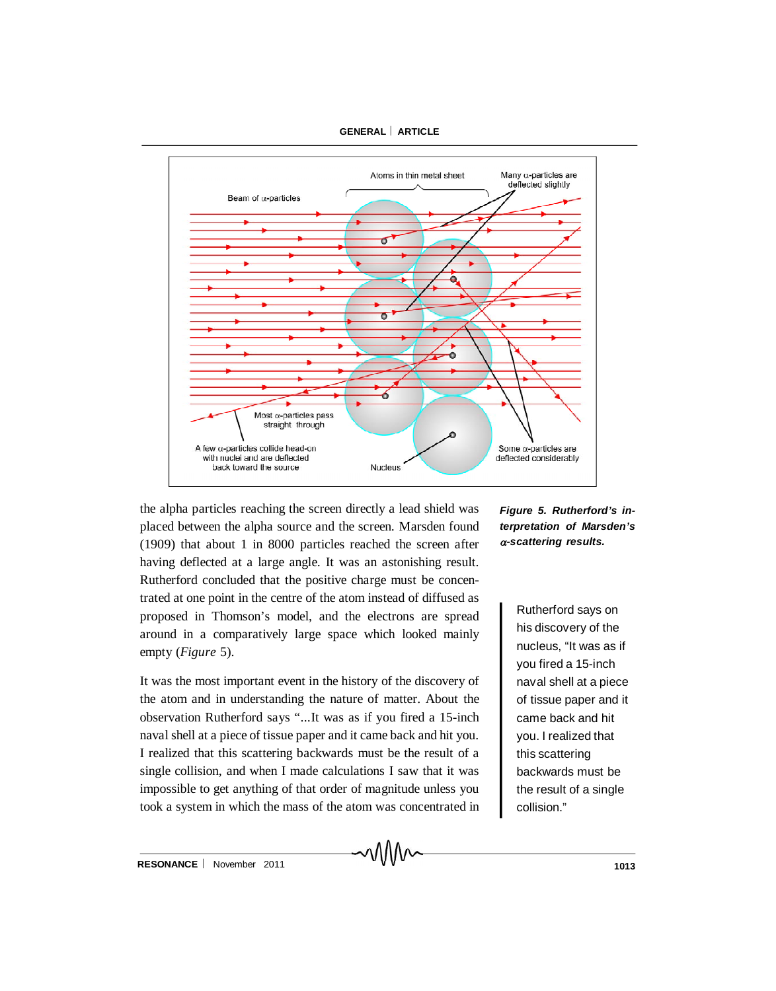



the alpha particles reaching the screen directly a lead shield was placed between the alpha source and the screen. Marsden found (1909) that about 1 in 8000 particles reached the screen after having deflected at a large angle. It was an astonishing result. Rutherford concluded that the positive charge must be concentrated at one point in the centre of the atom instead of diffused as proposed in Thomson's model, and the electrons are spread around in a comparatively large space which looked mainly empty (*Figure* 5).

It was the most important event in the history of the discovery of the atom and in understanding the nature of matter. About the observation Rutherford says "...It was as if you fired a 15-inch naval shell at a piece of tissue paper and it came back and hit you. I realized that this scattering backwards must be the result of a single collision, and when I made calculations I saw that it was impossible to get anything of that order of magnitude unless you took a system in which the mass of the atom was concentrated in *Figure 5. Rutherford's interpretation of Marsden's -scattering results.*

> Rutherford says on his discovery of the nucleus, "It was as if you fired a 15-inch naval shell at a piece of tissue paper and it came back and hit you. I realized that this scattering backwards must be the result of a single collision."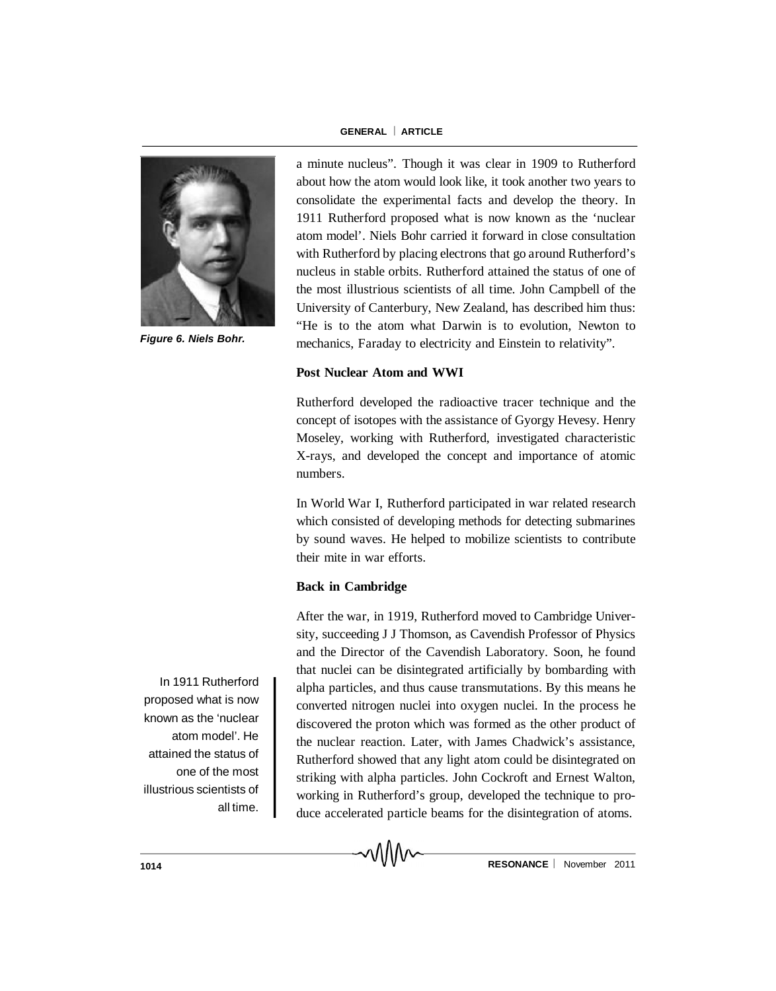

*Figure 6. Niels Bohr.*

a minute nucleus". Though it was clear in 1909 to Rutherford about how the atom would look like, it took another two years to consolidate the experimental facts and develop the theory. In 1911 Rutherford proposed what is now known as the 'nuclear atom model'. Niels Bohr carried it forward in close consultation with Rutherford by placing electrons that go around Rutherford's nucleus in stable orbits. Rutherford attained the status of one of the most illustrious scientists of all time. John Campbell of the University of Canterbury, New Zealand, has described him thus: "He is to the atom what Darwin is to evolution, Newton to mechanics, Faraday to electricity and Einstein to relativity".

# **Post Nuclear Atom and WWI**

Rutherford developed the radioactive tracer technique and the concept of isotopes with the assistance of Gyorgy Hevesy. Henry Moseley, working with Rutherford, investigated characteristic X-rays, and developed the concept and importance of atomic numbers.

In World War I, Rutherford participated in war related research which consisted of developing methods for detecting submarines by sound waves. He helped to mobilize scientists to contribute their mite in war efforts.

# **Back in Cambridge**

After the war, in 1919, Rutherford moved to Cambridge University, succeeding J J Thomson, as Cavendish Professor of Physics and the Director of the Cavendish Laboratory. Soon, he found that nuclei can be disintegrated artificially by bombarding with alpha particles, and thus cause transmutations. By this means he converted nitrogen nuclei into oxygen nuclei. In the process he discovered the proton which was formed as the other product of the nuclear reaction. Later, with James Chadwick's assistance, Rutherford showed that any light atom could be disintegrated on striking with alpha particles. John Cockroft and Ernest Walton, working in Rutherford's group, developed the technique to produce accelerated particle beams for the disintegration of atoms.

In 1911 Rutherford proposed what is now known as the 'nuclear atom model'. He attained the status of one of the most illustrious scientists of all time.

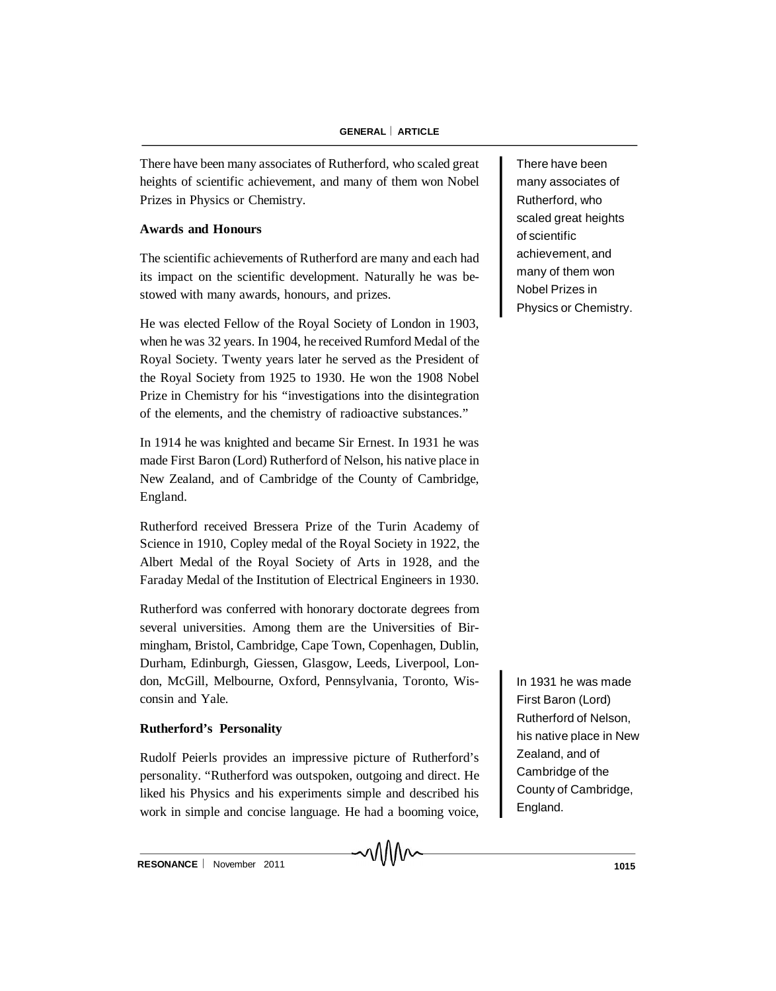There have been many associates of Rutherford, who scaled great heights of scientific achievement, and many of them won Nobel Prizes in Physics or Chemistry.

## **Awards and Honours**

The scientific achievements of Rutherford are many and each had its impact on the scientific development. Naturally he was bestowed with many awards, honours, and prizes.

He was elected Fellow of the Royal Society of London in 1903, when he was 32 years. In 1904, he received Rumford Medal of the Royal Society. Twenty years later he served as the President of the Royal Society from 1925 to 1930. He won the 1908 Nobel Prize in Chemistry for his "investigations into the disintegration of the elements, and the chemistry of radioactive substances."

In 1914 he was knighted and became Sir Ernest. In 1931 he was made First Baron (Lord) Rutherford of Nelson, his native place in New Zealand, and of Cambridge of the County of Cambridge, England.

Rutherford received Bressera Prize of the Turin Academy of Science in 1910, Copley medal of the Royal Society in 1922, the Albert Medal of the Royal Society of Arts in 1928, and the Faraday Medal of the Institution of Electrical Engineers in 1930.

Rutherford was conferred with honorary doctorate degrees from several universities. Among them are the Universities of Birmingham, Bristol, Cambridge, Cape Town, Copenhagen, Dublin, Durham, Edinburgh, Giessen, Glasgow, Leeds, Liverpool, London, McGill, Melbourne, Oxford, Pennsylvania, Toronto, Wisconsin and Yale.

## **Rutherford's Personality**

Rudolf Peierls provides an impressive picture of Rutherford's personality. "Rutherford was outspoken, outgoing and direct. He liked his Physics and his experiments simple and described his work in simple and concise language. He had a booming voice,

There have been many associates of Rutherford, who scaled great heights of scientific achievement, and many of them won Nobel Prizes in Physics or Chemistry.

In 1931 he was made First Baron (Lord) Rutherford of Nelson, his native place in New Zealand, and of Cambridge of the County of Cambridge, England.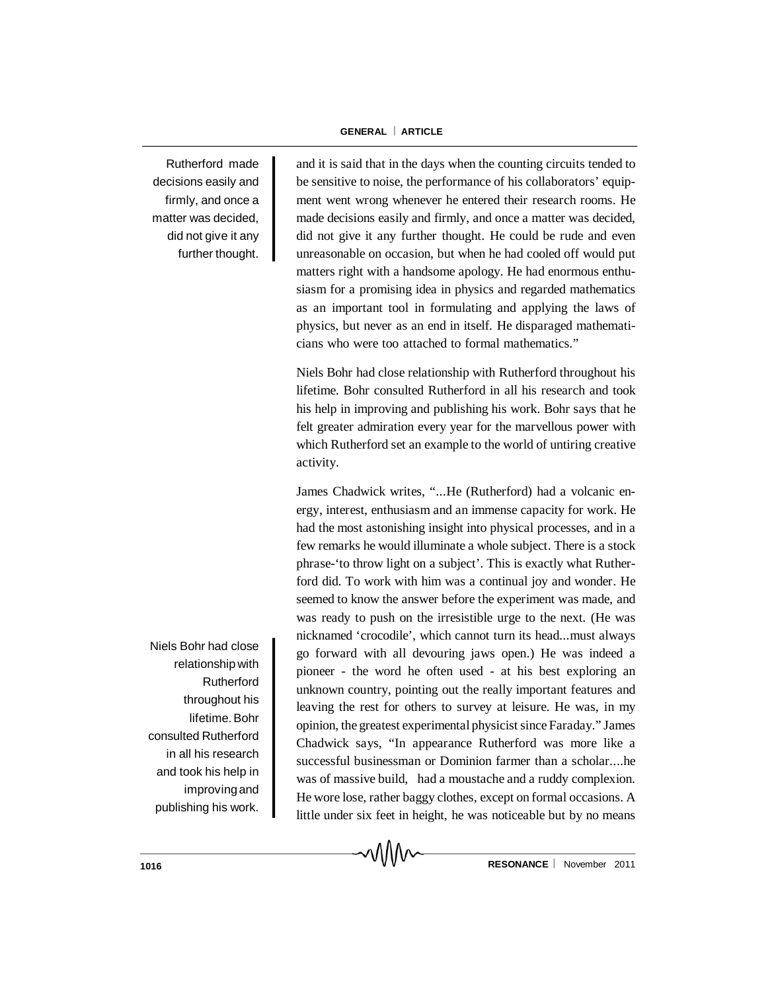Rutherford made decisions easily and firmly, and once a matter was decided, did not give it any further thought.

Niels Bohr had close relationship with Rutherford throughout his lifetime. Bohr consulted Rutherford in all his research and took his help in improving and publishing his work.

and it is said that in the days when the counting circuits tended to be sensitive to noise, the performance of his collaborators' equipment went wrong whenever he entered their research rooms. He made decisions easily and firmly, and once a matter was decided, did not give it any further thought. He could be rude and even unreasonable on occasion, but when he had cooled off would put matters right with a handsome apology. He had enormous enthusiasm for a promising idea in physics and regarded mathematics as an important tool in formulating and applying the laws of physics, but never as an end in itself. He disparaged mathematicians who were too attached to formal mathematics."

Niels Bohr had close relationship with Rutherford throughout his lifetime. Bohr consulted Rutherford in all his research and took his help in improving and publishing his work. Bohr says that he felt greater admiration every year for the marvellous power with which Rutherford set an example to the world of untiring creative activity.

James Chadwick writes, "...He (Rutherford) had a volcanic energy, interest, enthusiasm and an immense capacity for work. He had the most astonishing insight into physical processes, and in a few remarks he would illuminate a whole subject. There is a stock phrase-'to throw light on a subject'. This is exactly what Rutherford did. To work with him was a continual joy and wonder. He seemed to know the answer before the experiment was made, and was ready to push on the irresistible urge to the next. (He was nicknamed 'crocodile', which cannot turn its head...must always go forward with all devouring jaws open.) He was indeed a pioneer - the word he often used - at his best exploring an unknown country, pointing out the really important features and leaving the rest for others to survey at leisure. He was, in my opinion, the greatest experimental physicist since Faraday." James Chadwick says, "In appearance Rutherford was more like a successful businessman or Dominion farmer than a scholar....he was of massive build, had a moustache and a ruddy complexion. He wore lose, rather baggy clothes, except on formal occasions. A little under six feet in height, he was noticeable but by no means

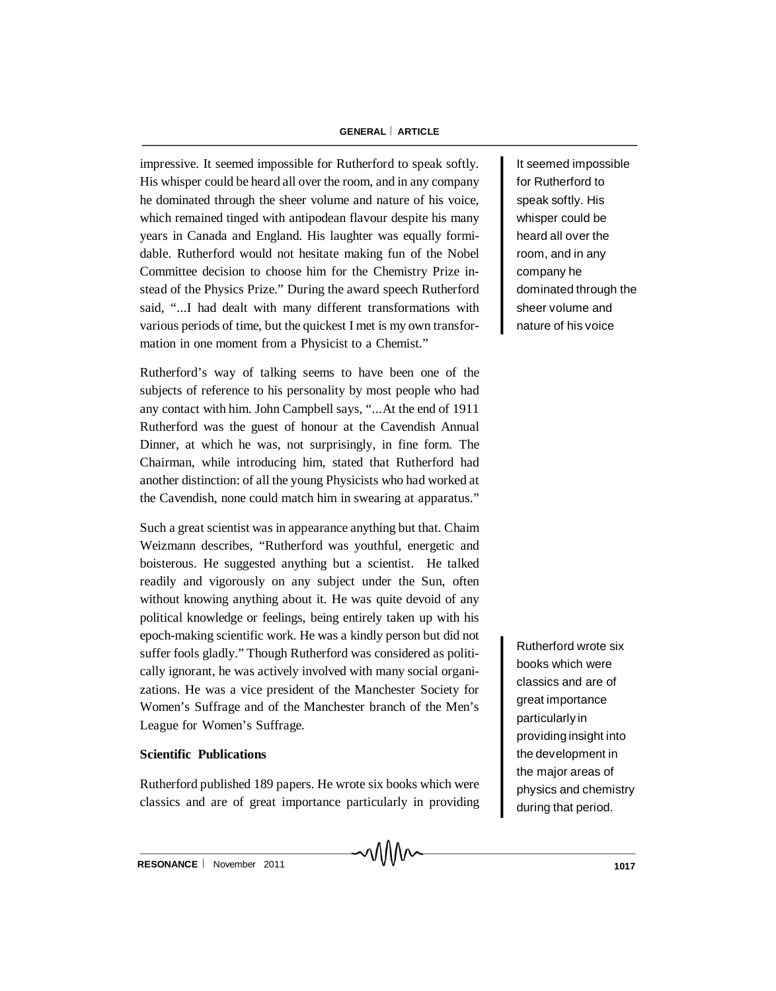impressive. It seemed impossible for Rutherford to speak softly. His whisper could be heard all over the room, and in any company he dominated through the sheer volume and nature of his voice, which remained tinged with antipodean flavour despite his many years in Canada and England. His laughter was equally formidable. Rutherford would not hesitate making fun of the Nobel Committee decision to choose him for the Chemistry Prize instead of the Physics Prize." During the award speech Rutherford said, "...I had dealt with many different transformations with various periods of time, but the quickest I met is my own transformation in one moment from a Physicist to a Chemist."

Rutherford's way of talking seems to have been one of the subjects of reference to his personality by most people who had any contact with him. John Campbell says, "...At the end of 1911 Rutherford was the guest of honour at the Cavendish Annual Dinner, at which he was, not surprisingly, in fine form. The Chairman, while introducing him, stated that Rutherford had another distinction: of all the young Physicists who had worked at the Cavendish, none could match him in swearing at apparatus."

Such a great scientist was in appearance anything but that. Chaim Weizmann describes, "Rutherford was youthful, energetic and boisterous. He suggested anything but a scientist. He talked readily and vigorously on any subject under the Sun, often without knowing anything about it. He was quite devoid of any political knowledge or feelings, being entirely taken up with his epoch-making scientific work. He was a kindly person but did not suffer fools gladly." Though Rutherford was considered as politically ignorant, he was actively involved with many social organizations. He was a vice president of the Manchester Society for Women's Suffrage and of the Manchester branch of the Men's League for Women's Suffrage.

## **Scientific Publications**

Rutherford published 189 papers. He wrote six books which were classics and are of great importance particularly in providing

It seemed impossible for Rutherford to speak softly. His whisper could be heard all over the room, and in any company he dominated through the sheer volume and nature of his voice

Rutherford wrote six books which were classics and are of great importance particularly in providing insight into the development in the major areas of physics and chemistry during that period.